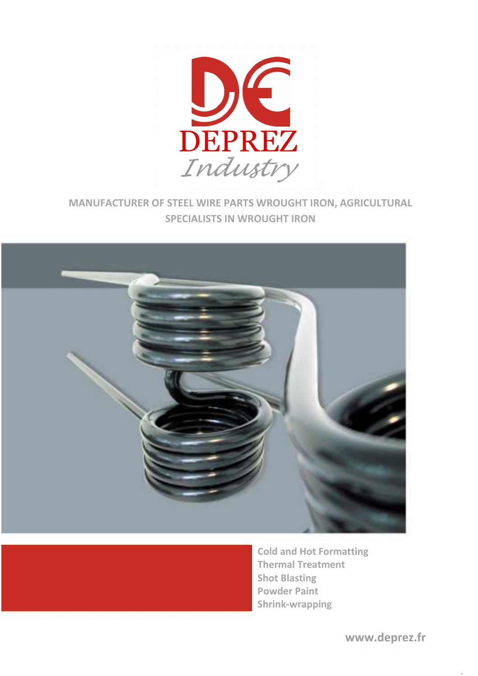

## **MANUFACTURER OF STEEL WIRE PARTS WROUGHT IRON, AGRICULTURAL SPECIALISTS IN WROUGHT IRON**





**Cold and Hot Formatting Thermal Treatment Shot Blasting Powder Paint Shrink-wrapping**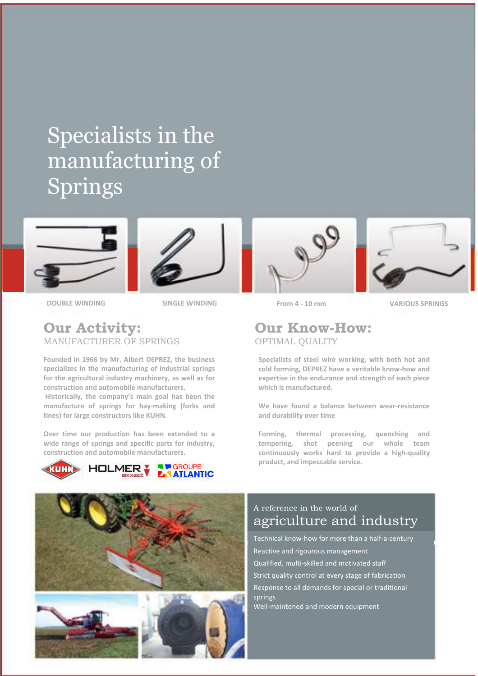# Specialists in the manufacturing of Springs





**DOUBLE WINDING SINGLE WINDING SINGLE WINDING SPRINGS** 

### **Our Activity:**  MANUFACTURER OF SPRINGS

**Founded in 1966 by Mr. Albert DEPREZ, the business specializes in the manufacturing of industrial springs for the agricultural industry machinery, as well as for construction and automobile manufacturers.** 

 **Historically, the company's main goal has been the manufacture of springs for hay-making (forks and tines) for large constructors like KUHN.** 

**Over time our production has been extended to a wide range of springs and specific parts for industry, construction and automobile manufacturers.**











**From 4 - 10 mm** 

### **Our Know-How:**  OPTIMAL QUALITY

**Specialists of steel wire working, with both hot and cold forming, DEPREZ have a veritable know-how and expertise in the endurance and strength of each piece which is manufactured.** 

**We have found a balance between wear-resistance and durability over time** 

**Forming, thermal processing, quenching and tempering, shot peening our whole team continuously works hard to provide a high-quality product, and impeccable service.**

## A reference in the world of agriculture and industry

Technical know-how for more than a half-a-century Reactive and rigourous management Qualified, multi-skilled and motivated staff Strict quality control at every stage of fabrication Response to all demands for special or traditional springs Well-maintened and modern equipment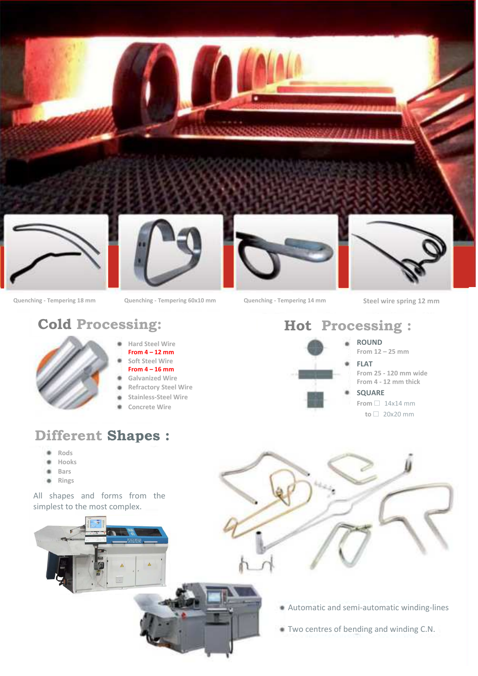

**Quenching - Tempering 18 mm Quenching - Tempering 60x10 mm Quenching - Tempering 14 mm Steel wire spring 12 mm** 



- **Hard Steel Wire From 4 – 12 mm Soft Steel Wire**
- **From 4 16 mm**
- **Galvanized Wire**
- **Refractory Steel Wire**
- **Stainless-Steel Wire**
- **Concrete Wire**

## **Different Shapes :**

- **Rods**
- **Hooks**
- **Bars**  ٠
- **Rings**  $\bullet$

All shapes and forms from the simplest to the most complex.

## **Cold Processing: Hot Processing :**

**ROUND From 12 – 25 mm** 

## **FLAT**

- **From 25 120 mm wide From 4 - 12 mm thick**
- **SQUARE From**  $\Box$  14x14 mm
	- $to$   $\Box$  20x20 mm



- Automatic and semi-automatic winding-lines
- Two centres of bending and winding C.N.